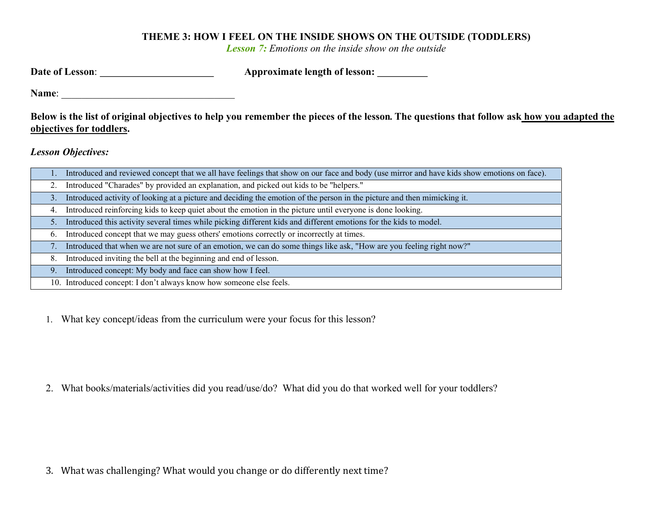## THEME 3: HOW I FEEL ON THE INSIDE SHOWS ON THE OUTSIDE (TODDLERS)

**Lesson 7:** Emotions on the inside show on the outside

| Date of Lesson:           | Approximate length of lesson: _________                                                                                                   |
|---------------------------|-------------------------------------------------------------------------------------------------------------------------------------------|
| Name:                     |                                                                                                                                           |
| objectives for toddlers.  | Below is the list of original objectives to help you remember the pieces of the lesson. The questions that follow ask how you adapted the |
| <b>Lesson Objectives:</b> |                                                                                                                                           |

|    | 1. Introduced and reviewed concept that we all have feelings that show on our face and body (use mirror and have kids show emotions on face). |
|----|-----------------------------------------------------------------------------------------------------------------------------------------------|
|    | 2. Introduced "Charades" by provided an explanation, and picked out kids to be "helpers."                                                     |
|    | 3. Introduced activity of looking at a picture and deciding the emotion of the person in the picture and then mimicking it.                   |
|    | 4. Introduced reinforcing kids to keep quiet about the emotion in the picture until everyone is done looking.                                 |
| 5. | Introduced this activity several times while picking different kids and different emotions for the kids to model.                             |
| 6. | Introduced concept that we may guess others' emotions correctly or incorrectly at times.                                                      |
|    | 7. Introduced that when we are not sure of an emotion, we can do some things like ask, "How are you feeling right now?"                       |
|    | 8. Introduced inviting the bell at the beginning and end of lesson.                                                                           |
|    | 9. Introduced concept: My body and face can show how I feel.                                                                                  |
|    | 10. Introduced concept: I don't always know how someone else feels.                                                                           |

1. What key concept/ideas from the curriculum were your focus for this lesson?

2. What books/materials/activities did you read/use/do? What did you do that worked well for your toddlers?

3. What was challenging? What would you change or do differently next time?